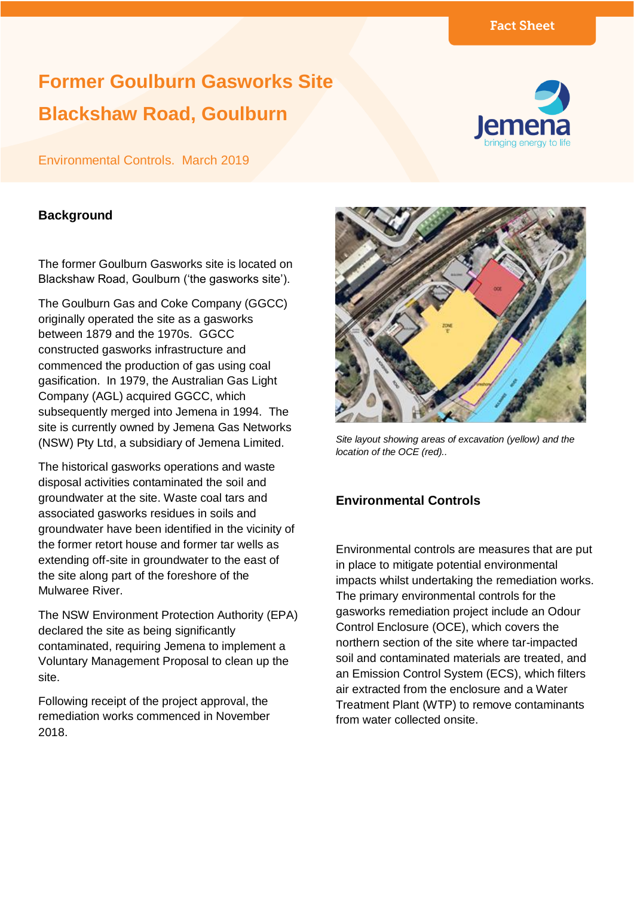# **Former Goulburn Gasworks Site Blackshaw Road, Goulburn**



# Environmental Controls. March 2019

### **Background**

The former Goulburn Gasworks site is located on Blackshaw Road, Goulburn ('the gasworks site').

The Goulburn Gas and Coke Company (GGCC) originally operated the site as a gasworks between 1879 and the 1970s. GGCC constructed gasworks infrastructure and commenced the production of gas using coal gasification. In 1979, the Australian Gas Light Company (AGL) acquired GGCC, which subsequently merged into Jemena in 1994. The site is currently owned by Jemena Gas Networks (NSW) Pty Ltd, a subsidiary of Jemena Limited.

The historical gasworks operations and waste disposal activities contaminated the soil and groundwater at the site. Waste coal tars and associated gasworks residues in soils and groundwater have been identified in the vicinity of the former retort house and former tar wells as extending off-site in groundwater to the east of the site along part of the foreshore of the Mulwaree River.

The NSW Environment Protection Authority (EPA) declared the site as being significantly contaminated, requiring Jemena to implement a Voluntary Management Proposal to clean up the site.

Following receipt of the project approval, the remediation works commenced in November 2018.



*Site layout showing areas of excavation (yellow) and the location of the OCE (red)..*

# **Environmental Controls**

Environmental controls are measures that are put in place to mitigate potential environmental impacts whilst undertaking the remediation works. The primary environmental controls for the gasworks remediation project include an Odour Control Enclosure (OCE), which covers the northern section of the site where tar-impacted soil and contaminated materials are treated, and an Emission Control System (ECS), which filters air extracted from the enclosure and a Water Treatment Plant (WTP) to remove contaminants from water collected onsite.